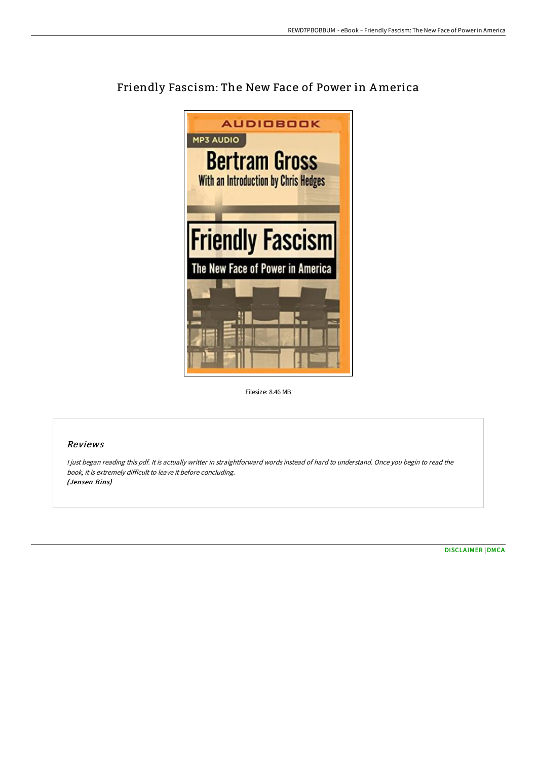

## Friendly Fascism: The New Face of Power in America

Filesize: 8.46 MB

## Reviews

<sup>I</sup> just began reading this pdf. It is actually writter in straightforward words instead of hard to understand. Once you begin to read the book, it is extremely difficult to leave it before concluding. (Jensen Bins)

[DISCLAIMER](http://digilib.live/disclaimer.html) | [DMCA](http://digilib.live/dmca.html)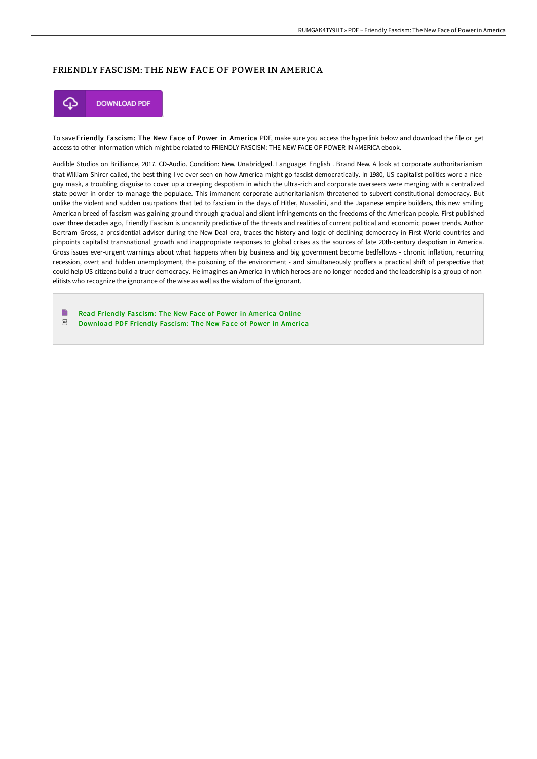## FRIENDLY FASCISM: THE NEW FACE OF POWER IN AMERICA



To save Friendly Fascism: The New Face of Power in America PDF, make sure you access the hyperlink below and download the file or get access to other information which might be related to FRIENDLY FASCISM: THE NEW FACE OF POWER IN AMERICA ebook.

Audible Studios on Brilliance, 2017. CD-Audio. Condition: New. Unabridged. Language: English . Brand New. A look at corporate authoritarianism that William Shirer called, the best thing I ve ever seen on how America might go fascist democratically. In 1980, US capitalist politics wore a niceguy mask, a troubling disguise to cover up a creeping despotism in which the ultra-rich and corporate overseers were merging with a centralized state power in order to manage the populace. This immanent corporate authoritarianism threatened to subvert constitutional democracy. But unlike the violent and sudden usurpations that led to fascism in the days of Hitler, Mussolini, and the Japanese empire builders, this new smiling American breed of fascism was gaining ground through gradual and silent infringements on the freedoms of the American people. First published over three decades ago, Friendly Fascism is uncannily predictive of the threats and realities of current political and economic power trends. Author Bertram Gross, a presidential adviser during the New Deal era, traces the history and logic of declining democracy in First World countries and pinpoints capitalist transnational growth and inappropriate responses to global crises as the sources of late 20th-century despotism in America. Gross issues ever-urgent warnings about what happens when big business and big government become bedfellows - chronic inflation, recurring recession, overt and hidden unemployment, the poisoning of the environment - and simultaneously proffers a practical shift of perspective that could help US citizens build a truer democracy. He imagines an America in which heroes are no longer needed and the leadership is a group of nonelitists who recognize the ignorance of the wise as well as the wisdom of the ignorant.

B Read Friendly [Fascism:](http://digilib.live/friendly-fascism-the-new-face-of-power-in-americ.html) The New Face of Power in America Online  $_{\rm per}$ [Download](http://digilib.live/friendly-fascism-the-new-face-of-power-in-americ.html) PDF Friendly Fascism: The New Face of Power in America